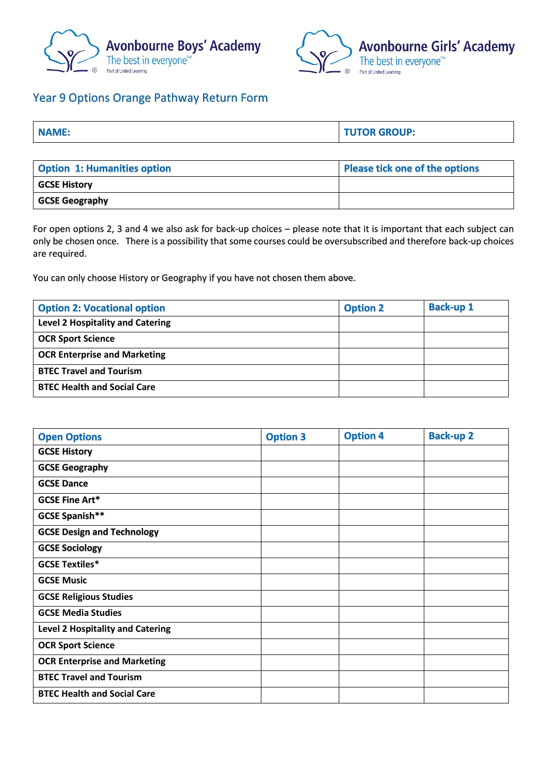



## Year 9 Options Orange Pathway Return Form

| <b>NAME:</b> | <b>TUTOR GROUP:</b> |
|--------------|---------------------|
|              |                     |
|              |                     |

| <b>Option 1: Humanities option</b> | Please tick one of the options |  |  |
|------------------------------------|--------------------------------|--|--|
| <b>GCSE History</b>                |                                |  |  |
| GCSE Geography                     |                                |  |  |

For open options 2, 3 and 4 we also ask for back-up choices – please note that it is important that each subject can only be chosen once. There is a possibility that some courses could be oversubscribed and therefore back-up choices are required.

You can only choose History or Geography if you have not chosen them above.

| <b>Option 2: Vocational option</b>      | <b>Option 2</b> | <b>Back-up 1</b> |
|-----------------------------------------|-----------------|------------------|
| <b>Level 2 Hospitality and Catering</b> |                 |                  |
| <b>OCR Sport Science</b>                |                 |                  |
| <b>OCR Enterprise and Marketing</b>     |                 |                  |
| <b>BTEC Travel and Tourism</b>          |                 |                  |
| <b>BTEC Health and Social Care</b>      |                 |                  |

| <b>Open Options</b>                     | <b>Option 3</b> | <b>Option 4</b> | <b>Back-up 2</b> |
|-----------------------------------------|-----------------|-----------------|------------------|
| <b>GCSE History</b>                     |                 |                 |                  |
| <b>GCSE Geography</b>                   |                 |                 |                  |
| <b>GCSE Dance</b>                       |                 |                 |                  |
| <b>GCSE Fine Art*</b>                   |                 |                 |                  |
| <b>GCSE Spanish**</b>                   |                 |                 |                  |
| <b>GCSE Design and Technology</b>       |                 |                 |                  |
| <b>GCSE Sociology</b>                   |                 |                 |                  |
| <b>GCSE Textiles*</b>                   |                 |                 |                  |
| <b>GCSE Music</b>                       |                 |                 |                  |
| <b>GCSE Religious Studies</b>           |                 |                 |                  |
| <b>GCSE Media Studies</b>               |                 |                 |                  |
| <b>Level 2 Hospitality and Catering</b> |                 |                 |                  |
| <b>OCR Sport Science</b>                |                 |                 |                  |
| <b>OCR Enterprise and Marketing</b>     |                 |                 |                  |
| <b>BTEC Travel and Tourism</b>          |                 |                 |                  |
| <b>BTEC Health and Social Care</b>      |                 |                 |                  |